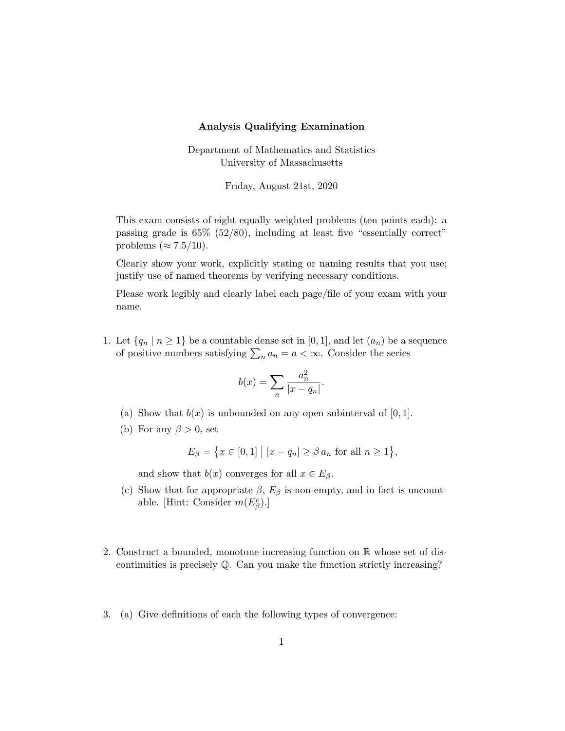## Analysis Qualifying Examination

Department of Mathematics and Statistics University of Massachusetts

Friday, August 21st, 2020

This exam consists of eight equally weighted problems (ten points each): a passing grade is 65% (52/80), including at least five "essentially correct" problems ( $\approx 7.5/10$ ).

Clearly show your work, explicitly stating or naming results that you use; justify use of named theorems by verifying necessary conditions.

Please work legibly and clearly label each page/file of your exam with your name.

1. Let  $\{q_n \mid n \geq 1\}$  be a countable dense set in  $[0, 1]$ , and let  $(a_n)$  be a sequence of positive numbers satisfying  $\sum_{n} a_n = a < \infty$ . Consider the series

$$
b(x) = \sum_{n} \frac{a_n^2}{|x - q_n|}.
$$

- (a) Show that  $b(x)$  is unbounded on any open subinterval of [0, 1].
- (b) For any  $\beta > 0$ , set

$$
E_{\beta} = \{ x \in [0,1] \mid |x - q_n| \ge \beta \, a_n \text{ for all } n \ge 1 \},
$$

and show that  $b(x)$  converges for all  $x \in E_\beta$ .

- (c) Show that for appropriate  $\beta$ ,  $E_{\beta}$  is non-empty, and in fact is uncountable. [Hint: Consider  $m(E_\beta^c)$ .]
- 2. Construct a bounded, monotone increasing function on R whose set of discontinuities is precisely  $\mathbb{O}$ . Can you make the function strictly increasing?
- 3. (a) Give definitions of each the following types of convergence: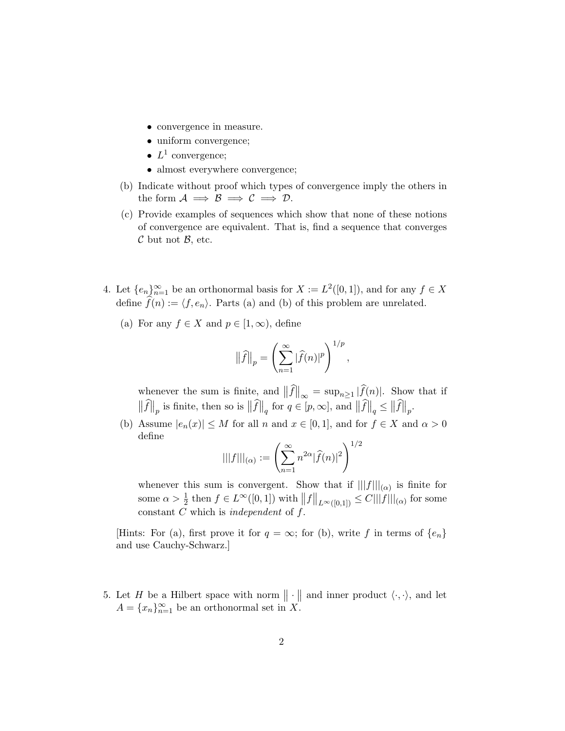- convergence in measure.
- uniform convergence;
- $L^1$  convergence;
- almost everywhere convergence;
- (b) Indicate without proof which types of convergence imply the others in the form  $A \implies B \implies C \implies D$ .
- (c) Provide examples of sequences which show that none of these notions of convergence are equivalent. That is, find a sequence that converges  $\mathcal C$  but not  $\mathcal B$ , etc.
- 4. Let  $\{e_n\}_{n=1}^{\infty}$  be an orthonormal basis for  $X := L^2([0,1])$ , and for any  $f \in X$ define  $f(n) := \langle f, e_n \rangle$ . Parts (a) and (b) of this problem are unrelated.
	- (a) For any  $f \in X$  and  $p \in [1,\infty)$ , define

$$
\left\|\widehat{f}\right\|_p = \left(\sum_{n=1}^{\infty} |\widehat{f}(n)|^p\right)^{1/p},
$$

whenever the sum is finite, and  $||f||_{\infty} = \sup_{n\geq 1} |f(n)|$ . Show that if  $\|\widehat{f}\|_p$  is finite, then so is  $\|\widehat{f}\|_q$  for  $q \in [p, \infty]$ , and  $\|\widehat{f}\|_q \leq \|\widehat{f}\|_p$ .

(b) Assume  $|e_n(x)| \leq M$  for all n and  $x \in [0,1]$ , and for  $f \in X$  and  $\alpha > 0$ define  $\overline{2}$ 

$$
|||f|||_{(\alpha)} := \left(\sum_{n=1}^{\infty} n^{2\alpha} |\widehat{f}(n)|^2\right)^{1/2}
$$

whenever this sum is convergent. Show that if  $|||f|||_{(\alpha)}$  is finite for some  $\alpha > \frac{1}{2}$  then  $f \in L^{\infty}([0,1])$  with  $||f||_{L^{\infty}([0,1])} \leq C|||f|||_{(\alpha)}$  for some constant  $C$  which is independent of  $f$ .

[Hints: For (a), first prove it for  $q = \infty$ ; for (b), write f in terms of  $\{e_n\}$ and use Cauchy-Schwarz.]

5. Let H be a Hilbert space with norm  $\|\cdot\|$  and inner product  $\langle \cdot, \cdot \rangle$ , and let  $A = \{x_n\}_{n=1}^{\infty}$  be an orthonormal set in X.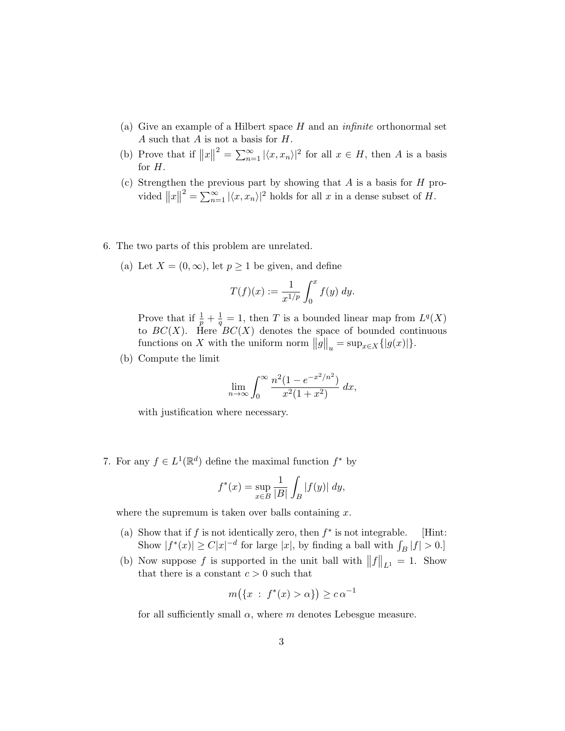- (a) Give an example of a Hilbert space  $H$  and an *infinite* orthonormal set A such that  $A$  is not a basis for  $H$ .
- (b) Prove that if  $||x||^2 = \sum_{n=1}^{\infty} |\langle x, x_n \rangle|^2$  for all  $x \in H$ , then A is a basis for  $H$ .
- (c) Strengthen the previous part by showing that  $A$  is a basis for  $H$  provided  $||x||^2 = \sum_{n=1}^{\infty} |\langle x, x_n \rangle|^2$  holds for all x in a dense subset of H.
- 6. The two parts of this problem are unrelated.
	- (a) Let  $X = (0, \infty)$ , let  $p \ge 1$  be given, and define

$$
T(f)(x) := \frac{1}{x^{1/p}} \int_0^x f(y) \, dy.
$$

Prove that if  $\frac{1}{p} + \frac{1}{q} = 1$ , then T is a bounded linear map from  $L^q(X)$ to  $BC(X)$ . Here  $BC(X)$  denotes the space of bounded continuous functions on X with the uniform norm  $||g||_u = \sup_{x \in X} { |g(x)| }$ .

(b) Compute the limit

$$
\lim_{n \to \infty} \int_0^\infty \frac{n^2 (1 - e^{-x^2/n^2})}{x^2 (1 + x^2)} dx,
$$

with justification where necessary.

7. For any  $f \in L^1(\mathbb{R}^d)$  define the maximal function  $f^*$  by

$$
f^*(x) = \sup_{x \in B} \frac{1}{|B|} \int_B |f(y)| dy,
$$

where the supremum is taken over balls containing  $x$ .

- (a) Show that if  $f$  is not identically zero, then  $f^*$  is not integrable. [Hint: Show  $|f^*(x)| \ge C|x|^{-d}$  for large  $|x|$ , by finding a ball with  $\int_B |f| > 0$ .
- (b) Now suppose f is supported in the unit ball with  $||f||_{L^1} = 1$ . Show that there is a constant  $c > 0$  such that

$$
m(\lbrace x : f^*(x) > \alpha \rbrace) \ge c\,\alpha^{-1}
$$

for all sufficiently small  $\alpha$ , where m denotes Lebesgue measure.